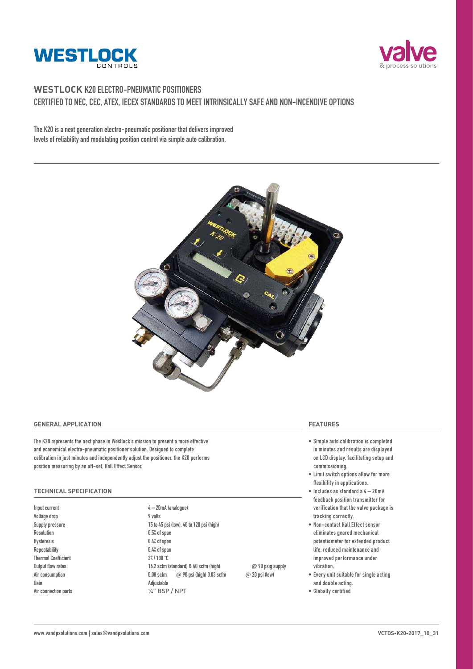



### **WESTLOCK K20 ELECTRO-PNEUMATIC POSITIONERS CERTIFIED TO NEC, CEC, ATEX, IECEX STANDARDS TO MEET INTRINSICALLY SAFE AND NON-INCENDIVE OPTIONS**

**The K20 is a next generation electro-pneumatic positioner that delivers improved levels of reliability and modulating position control via simple auto calibration.** 



#### **GENERAL APPLICATION**

**The K20 represents the next phase in Westlock's mission to present a more effective and economical electro-pneumatic positioner solution. Designed to complete calibration in just minutes and independently adjust the positioner, the K20 performs position measuring by an off-set, Hall Effect Sensor.**

#### **TECHNICAL SPECIFICATION**

**Voltage drop 9 volts Resolution 0.5% of span Hysteresis 0.4% of span Thermal Coefficient 3% / 100 °C Gain** Adjustable

**Input current 4 – 20mA (analogue) Supply pressure 15 to 45 psi (low), 40 to 120 psi (high) Repeatability 0.4% of span Output flow rates 16.2 scfm (standard) & 40 scfm (high)** @ **90 psig supply Air consumption 0.08 scfm** @ **90 psi (high) 0.03 scfm** @ **20 psi (low) Air connection ports** ¼" BSP / NPT

**FEATURES**

- **• Simple auto calibration is completed in minutes and results are displayed on LCD display, facilitating setup and commissioning.**
- **• Limit switch options allow for more flexibility in applications.**
- **• Includes as standard a 4 20mA feedback position transmitter for verification that the valve package is tracking correctly.**
- **• Non-contact Hall Effect sensor eliminates geared mechanical potentiometer for extended product life, reduced maintenance and improved performance under vibration.**
- **• Every unit suitable for single acting and double acting.**
- **• Globally certified**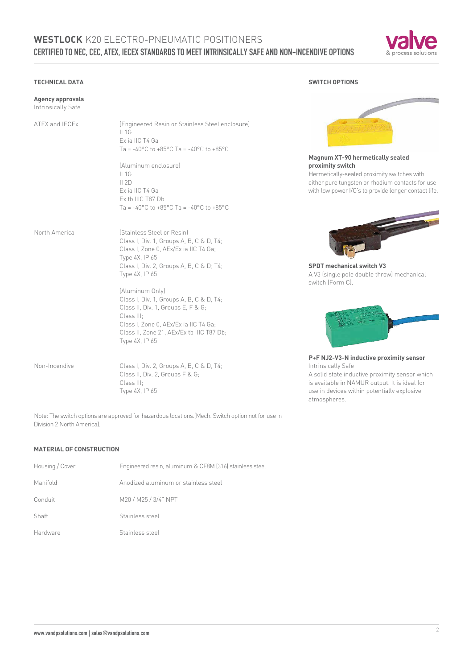## **WESTLOCK** K20 ELECTRO-PNEUMATIC POSITIONERS **CERTIFIED TO NEC, CEC, ATEX, IECEX STANDARDS TO MEET INTRINSICALLY SAFE AND NON-INCENDIVE OPTIONS**



#### **TECHNICAL DATA**

| <b>Agency approvals</b><br>Intrinsically Safe |                                                                                                                                                                                                                         |                                                                                                                                                                                                                 |
|-----------------------------------------------|-------------------------------------------------------------------------------------------------------------------------------------------------------------------------------------------------------------------------|-----------------------------------------------------------------------------------------------------------------------------------------------------------------------------------------------------------------|
| ATEX and IECEx                                | (Engineered Resin or Stainless Steel enclosure)<br>$II$ 1G<br>Ex ia IIC T4 Ga<br>Ta = -40°C to +85°C Ta = -40°C to +85°C                                                                                                |                                                                                                                                                                                                                 |
|                                               | (Aluminum enclosure)                                                                                                                                                                                                    | Magnum XT-90 hermetically sealed<br>proximity switch                                                                                                                                                            |
|                                               | II1G<br>II 2D<br>Ex ia IIC T4 Ga<br>Ex tb IIIC T87 Db<br>Ta = -40°C to +85°C Ta = -40°C to +85°C                                                                                                                        | Hermetically-sealed proximity switches with<br>either pure tungsten or rhodium contacts for use<br>with low power I/O's to provide longer contact life.                                                         |
| North America                                 | (Stainless Steel or Resin)<br>Class I, Div. 1, Groups A, B, C & D, T4;<br>Class I, Zone 0, AEx/Ex ia IIC T4 Ga;<br>Type 4X, IP 65<br>Class I, Div. 2, Groups A, B, C & D; T4;                                           | <b>SPDT</b> mechanical switch V3                                                                                                                                                                                |
|                                               | Type 4X, IP 65                                                                                                                                                                                                          | A V3 (single pole double throw) mechanical<br>switch (Form C).                                                                                                                                                  |
|                                               | (Aluminum Only)<br>Class I, Div. 1, Groups A, B, C & D, T4;<br>Class II, Div. 1, Groups E, F & G;<br>Class III:<br>Class I, Zone 0, AEx/Ex ia IIC T4 Ga;<br>Class II, Zone 21, AEx/Ex tb IIIC T87 Db;<br>Type 4X, IP 65 |                                                                                                                                                                                                                 |
| Non-Incendive                                 | Class I, Div. 2, Groups A, B, C & D, T4;<br>Class II, Div. 2, Groups F & G;<br>Class III:<br>Type 4X, IP 65                                                                                                             | P+F NJ2-V3-N inductive proximity sensor<br>Intrinsically Safe<br>A solid state inductive proximity sensor which<br>is available in NAMUR output. It is ideal for<br>use in devices within potentially explosive |

Note: The switch options are approved for hazardous locations.(Mech. Switch option not for use in Division 2 North America).

#### **MATERIAL OF CONSTRUCTION**

| Housing / Cover | Engineered resin, aluminum & CF8M (316) stainless steel |
|-----------------|---------------------------------------------------------|
| Manifold        | Anodized aluminum or stainless steel                    |
| Conduit         | M20 / M25 / 3/4" NPT                                    |
| Shaft           | Stainless steel                                         |
| Hardware        | Stainless steel                                         |

**SWITCH OPTIONS**





**P+F NJ2-V3-N inductive proximity sensor** hich is available in NAMUR output. It is ideal for use in devices within potentially explosive atmospheres.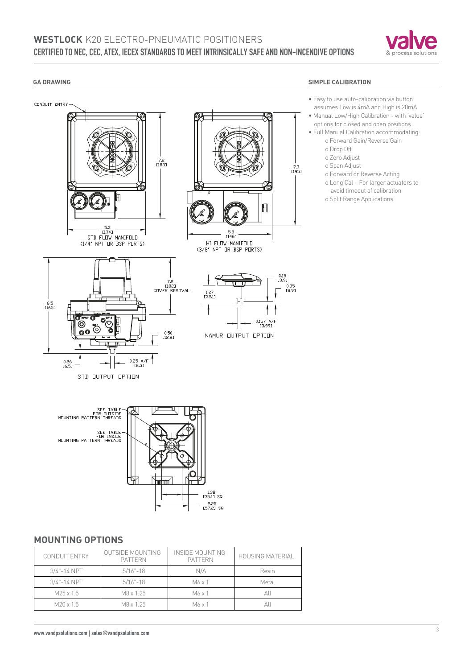## **WESTLOCK** K20 ELECTRO-PNEUMATIC POSITIONERS **CERTIFIED TO NEC, CEC, ATEX, IECEX STANDARDS TO MEET INTRINSICALLY SAFE AND NON-INCENDIVE OPTIONS**



#### **GA DRAWING**

CONDUIT ENTRY

#### **SIMPLE CALIBRATION**

- Easy to use auto-calibration via button assumes Low is 4mA and High is 20mA
	- Manual Low/High Calibration with 'value' options for closed and open positions
	- Full Manual Calibration accommodating: o Forward Gain/Reverse Gain
		- o Drop Off
		-
		- o Zero Adjust
		- o Span Adjust
		- o Forward or Reverse Acting
		- o Long Cal For larger actuators to avoid timeout of calibration
		- o Split Range Applications



### **MOUNTING OPTIONS**

| <b>CONDUIT ENTRY</b> | OUTSIDE MOUNTING<br><b>PATTERN</b> | INSIDE MOUNTING<br><b>PATTERN</b> | HOUSING MATERIAL |  |  |
|----------------------|------------------------------------|-----------------------------------|------------------|--|--|
| $3/4$ "-14 NPT       | $5/16 - 18$                        | N/A                               | Resin            |  |  |
| $3/4$ "-14 NPT       | $5/16 - 18$                        | $M6 \times 1$                     | Metal            |  |  |
| $M25 \times 1.5$     | M8 x 1.25                          | $M6 \times 1$                     | All              |  |  |
| $M$ 20 x 1.5         | M8 x 1.25                          | $M6 \times 1$                     | All              |  |  |